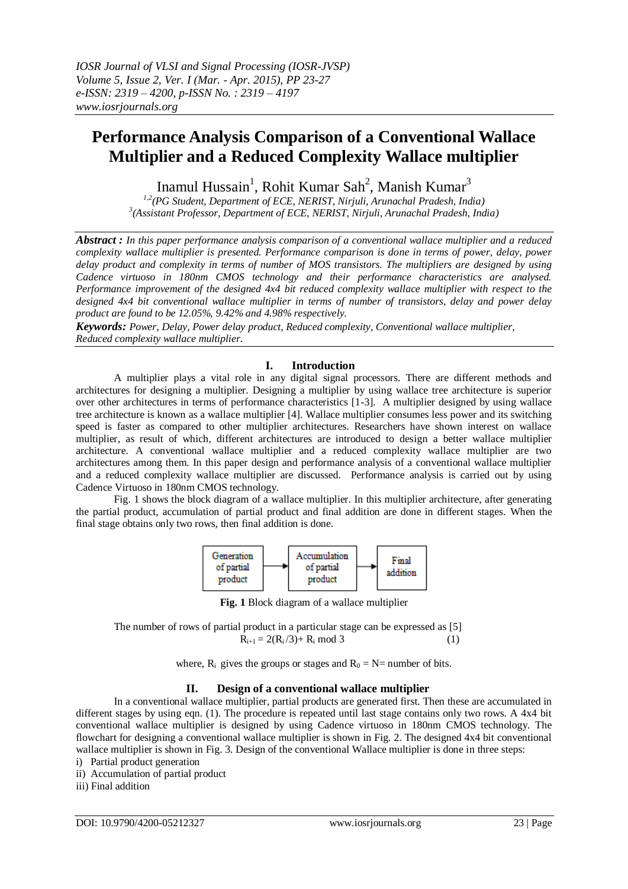# **Performance Analysis Comparison of a Conventional Wallace Multiplier and a Reduced Complexity Wallace multiplier**

Inamul Hussain<sup>1</sup>, Rohit Kumar Sah<sup>2</sup>, Manish Kumar<sup>3</sup>

*1,2(PG Student, Department of ECE, NERIST, Nirjuli, Arunachal Pradesh, India) 3 (Assistant Professor, Department of ECE, NERIST, Nirjuli, Arunachal Pradesh, India)*

*Abstract : In this paper performance analysis comparison of a conventional wallace multiplier and a reduced complexity wallace multiplier is presented. Performance comparison is done in terms of power, delay, power delay product and complexity in terms of number of MOS transistors. The multipliers are designed by using Cadence virtuoso in 180nm CMOS technology and their performance characteristics are analysed. Performance improvement of the designed 4x4 bit reduced complexity wallace multiplier with respect to the designed 4x4 bit conventional wallace multiplier in terms of number of transistors, delay and power delay product are found to be 12.05%, 9.42% and 4.98% respectively.* 

*Keywords: Power, Delay, Power delay product, Reduced complexity, Conventional wallace multiplier, Reduced complexity wallace multiplier*.

### **I. Introduction**

A multiplier plays a vital role in any digital signal processors. There are different methods and architectures for designing a multiplier. Designing a multiplier by using wallace tree architecture is superior over other architectures in terms of performance characteristics [1-3]. A multiplier designed by using wallace tree architecture is known as a wallace multiplier [4]. Wallace multiplier consumes less power and its switching speed is faster as compared to other multiplier architectures. Researchers have shown interest on wallace multiplier, as result of which, different architectures are introduced to design a better wallace multiplier architecture. A conventional wallace multiplier and a reduced complexity wallace multiplier are two architectures among them. In this paper design and performance analysis of a conventional wallace multiplier and a reduced complexity wallace multiplier are discussed. Performance analysis is carried out by using Cadence Virtuoso in 180nm CMOS technology.

Fig. 1 shows the block diagram of a wallace multiplier. In this multiplier architecture, after generating the partial product, accumulation of partial product and final addition are done in different stages. When the final stage obtains only two rows, then final addition is done.



**Fig. 1** Block diagram of a wallace multiplier

The number of rows of partial product in a particular stage can be expressed as [5]  $R_{i+1} = 2(R_i/3) + R_i \mod 3$  (1)

where,  $R_i$  gives the groups or stages and  $R_0 = N$ = number of bits.

# **II. Design of a conventional wallace multiplier**

In a conventional wallace multiplier, partial products are generated first. Then these are accumulated in different stages by using eqn. (1). The procedure is repeated until last stage contains only two rows. A 4x4 bit conventional wallace multiplier is designed by using Cadence virtuoso in 180nm CMOS technology. The flowchart for designing a conventional wallace multiplier is shown in Fig. 2. The designed 4x4 bit conventional wallace multiplier is shown in Fig. 3. Design of the conventional Wallace multiplier is done in three steps:

i) Partial product generation

ii) Accumulation of partial product

iii) Final addition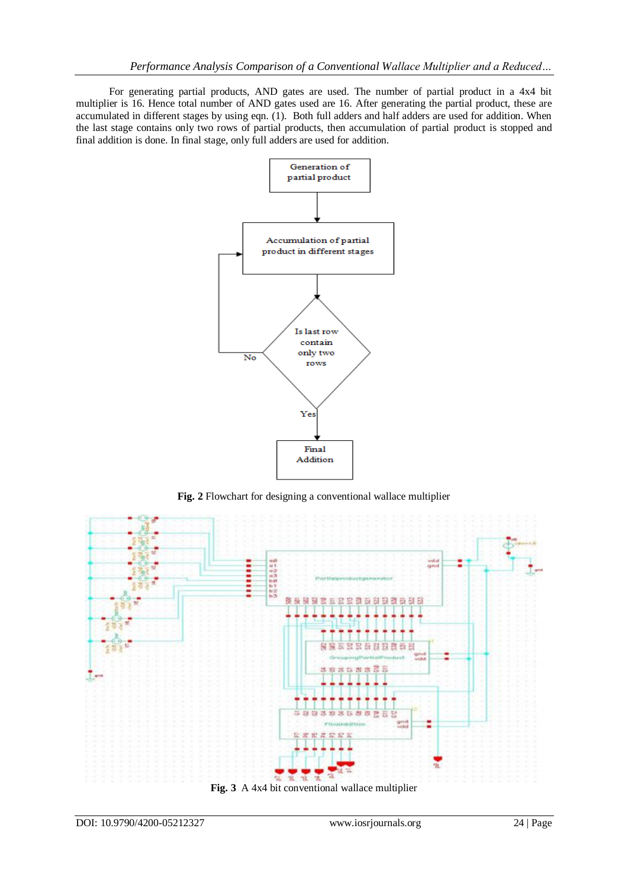For generating partial products, AND gates are used. The number of partial product in a 4x4 bit multiplier is 16. Hence total number of AND gates used are 16. After generating the partial product, these are accumulated in different stages by using eqn. (1). Both full adders and half adders are used for addition. When the last stage contains only two rows of partial products, then accumulation of partial product is stopped and final addition is done. In final stage, only full adders are used for addition.



**Fig. 2** Flowchart for designing a conventional wallace multiplier



DOI: 10.9790/4200-05212327 www.iosrjournals.org 24 | Page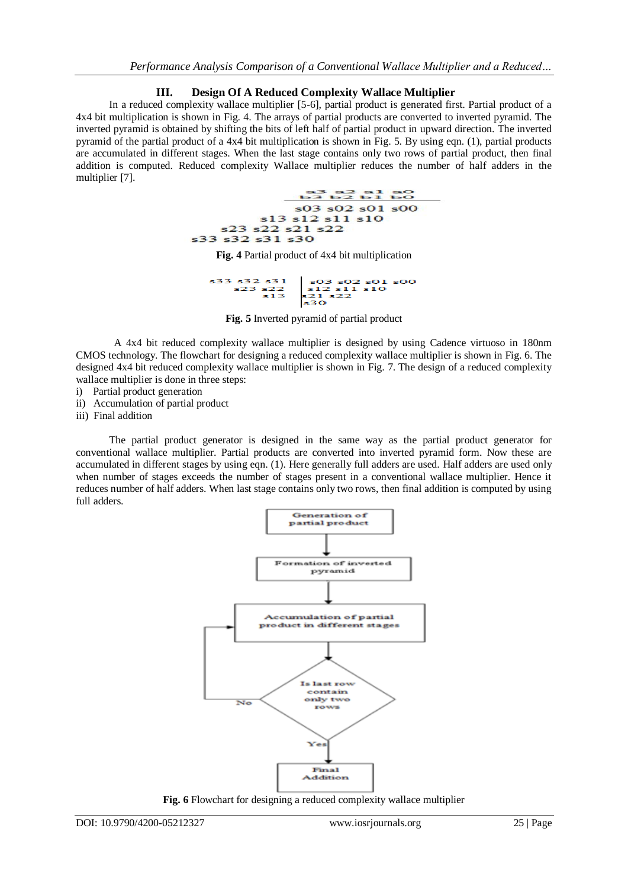## **III. Design Of A Reduced Complexity Wallace Multiplier**

In a reduced complexity wallace multiplier [5-6], partial product is generated first. Partial product of a 4x4 bit multiplication is shown in Fig. 4. The arrays of partial products are converted to inverted pyramid. The inverted pyramid is obtained by shifting the bits of left half of partial product in upward direction. The inverted pyramid of the partial product of a 4x4 bit multiplication is shown in Fig. 5. By using eqn. (1), partial products are accumulated in different stages. When the last stage contains only two rows of partial product, then final addition is computed. Reduced complexity Wallace multiplier reduces the number of half adders in the multiplier [7].



**Fig. 4** Partial product of 4x4 bit multiplication

$$
\begin{array}{r|l}\n s33 & s32 & s31 \\
s23 & s22 \\
s13 & s21 & s10 \\
s13 & s21 & s22 \\
\hline\n \end{array}
$$

**Fig. 5** Inverted pyramid of partial product

A 4x4 bit reduced complexity wallace multiplier is designed by using Cadence virtuoso in 180nm CMOS technology. The flowchart for designing a reduced complexity wallace multiplier is shown in Fig. 6. The designed 4x4 bit reduced complexity wallace multiplier is shown in Fig. 7. The design of a reduced complexity wallace multiplier is done in three steps:

i) Partial product generation

ii) Accumulation of partial product

iii) Final addition

The partial product generator is designed in the same way as the partial product generator for conventional wallace multiplier. Partial products are converted into inverted pyramid form. Now these are accumulated in different stages by using eqn. (1). Here generally full adders are used. Half adders are used only when number of stages exceeds the number of stages present in a conventional wallace multiplier. Hence it reduces number of half adders. When last stage contains only two rows, then final addition is computed by using full adders.



**Fig. 6** Flowchart for designing a reduced complexity wallace multiplier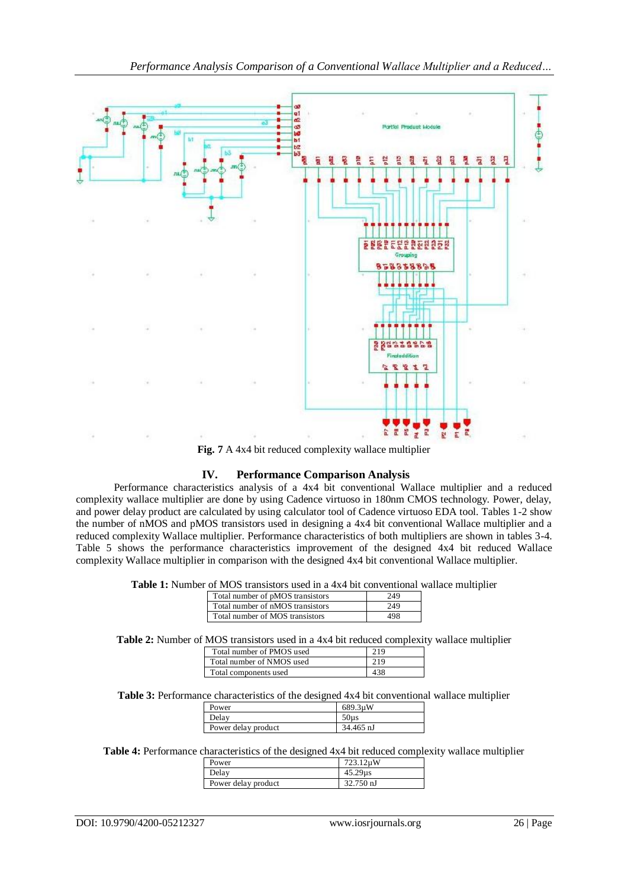

**Fig. 7** A 4x4 bit reduced complexity wallace multiplier

# **IV. Performance Comparison Analysis**

Performance characteristics analysis of a 4x4 bit conventional Wallace multiplier and a reduced complexity wallace multiplier are done by using Cadence virtuoso in 180nm CMOS technology. Power, delay, and power delay product are calculated by using calculator tool of Cadence virtuoso EDA tool. Tables 1-2 show the number of nMOS and pMOS transistors used in designing a 4x4 bit conventional Wallace multiplier and a reduced complexity Wallace multiplier. Performance characteristics of both multipliers are shown in tables 3-4. Table 5 shows the performance characteristics improvement of the designed 4x4 bit reduced Wallace complexity Wallace multiplier in comparison with the designed 4x4 bit conventional Wallace multiplier.

| <b>Table 1:</b> Number of MOS transistors used in a 4x4 bit conventional wallace multiplier |  |
|---------------------------------------------------------------------------------------------|--|
|---------------------------------------------------------------------------------------------|--|

| Total number of pMOS transistors | 249 |
|----------------------------------|-----|
| Total number of nMOS transistors | 249 |
| Total number of MOS transistors  |     |

**Table 2:** Number of MOS transistors used in a 4x4 bit reduced complexity wallace multiplier

| Total number of PMOS used | 21 Q |
|---------------------------|------|
| Total number of NMOS used | 219  |
| Total components used     |      |

**Table 3:** Performance characteristics of the designed 4x4 bit conventional wallace multiplier

| Power               | 689.3uW          |
|---------------------|------------------|
| Delay               | 50 <sub>us</sub> |
| Power delay product | 34.465 nJ        |

**Table 4:** Performance characteristics of the designed 4x4 bit reduced complexity wallace multiplier

| Power               | 723.12uW  |
|---------------------|-----------|
| Delay               | 45.29us   |
| Power delay product | 32.750 nJ |